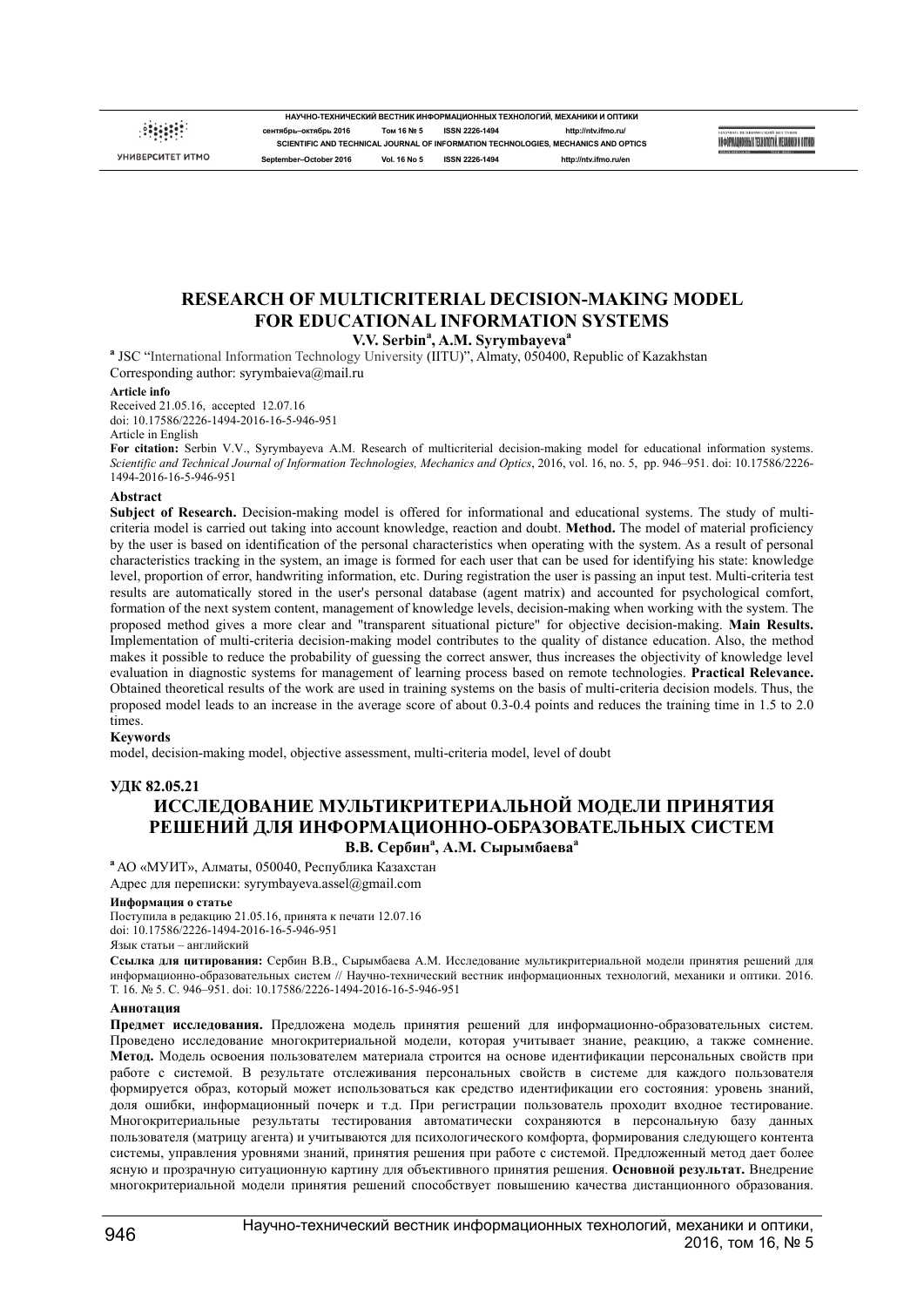УНИВЕРСИТЕТ ИТМО

**НАУЧНО-ТЕХНИЧЕСКИЙ ВЕСТНИК ИНФОРМАЦИОННЫХ ТЕХНОЛОГИЙ, МЕХАНИКИ И ОПТИКИ сентябрь–октябрь 2016 Том 16 № 5 ISSN 2226-1494 http://ntv.ifmo.ru/ SCIENTIFIC AND TECHNICAL JOURNAL OF INFORMATION TECHNOLOGIES, MECHANICS AND OPTICS September–October 2016 Vol. 16 No 5 ISSN 2226-1494 http://ntv.ifmo.ru/en**

NHOOPMAINOHHAIX TEXHODOGNÀ MEXAHNKH N OUTNIKA

## **RESEARCH OF MULTICRITERIAL DECISION-MAKING MODEL FOR EDUCATIONAL INFORMATION SYSTEMS V.V. Serbin<sup>a</sup> , A.M. Syrymbayeva<sup>a</sup>**

**a** JSC "International Information Technology University (IITU)", Almaty, 050400, Republic of Kazakhstan Corresponding author: syrymbaieva@mail.ru

#### **Article info**

Received 21.05.16, accepted 12.07.16 doi: 10.17586/2226-1494-2016-16-5-946-951 Article in English

**For citation:** Serbin V.V., Syrymbayeva A.M. Research of multicriterial decision-making model for educational information systems. *Scientific and Technical Journal of Information Technologies, Mechanics and Optics*, 2016, vol. 16, no. 5, pp. 946–951. doi: 10.17586/2226- 1494-2016-16-5-946-951

### **Abstract**

**Subject of Research.** Decision-making model is offered for informational and educational systems. The study of multicriteria model is carried out taking into account knowledge, reaction and doubt. **Method.** The model of material proficiency by the user is based on identification of the personal characteristics when operating with the system. As a result of personal characteristics tracking in the system, an image is formed for each user that can be used for identifying his state: knowledge level, proportion of error, handwriting information, etc. During registration the user is passing an input test. Multi-criteria test results are automatically stored in the user's personal database (agent matrix) and accounted for psychological comfort, formation of the next system content, management of knowledge levels, decision-making when working with the system. The proposed method gives a more clear and "transparent situational picture" for objective decision-making. **Main Results.** Implementation of multi-criteria decision-making model contributes to the quality of distance education. Also, the method makes it possible to reduce the probability of guessing the correct answer, thus increases the objectivity of knowledge level evaluation in diagnostic systems for management of learning process based on remote technologies. **Practical Relevance.** Obtained theoretical results of the work are used in training systems on the basis of multi-criteria decision models. Thus, the proposed model leads to an increase in the average score of about 0.3-0.4 points and reduces the training time in 1.5 to 2.0 times.

## **Keywords**

model, decision-making model, objective assessment, multi-criteria model, level of doubt

## **УДК 82.05.21**

# **ИССЛЕДОВАНИЕ МУЛЬТИКРИТЕРИАЛЬНОЙ МОДЕЛИ ПРИНЯТИЯ РЕШЕНИЙ ДЛЯ ИНФОРМАЦИОННО-ОБРАЗОВАТЕЛЬНЫХ СИСТЕМ В.В. Сербин<sup>a</sup> , А.М. Сырымбаева<sup>a</sup>**

**<sup>a</sup>** АО «МУИТ», Алматы, 050040, Республика Казахстан Адрес для переписки: syrymbayeva.assel@gmail.com

### **Информация о статье**

Поступила в редакцию 21.05.16, принята к печати 12.07.16 doi: 10.17586/2226-1494-2016-16-5-946-951

### Язык статьи – английский

**Ссылка для цитирования:** Сербин В.В., Сырымбаева А.М. Исследование мультикритериальной модели принятия решений для информационно-образовательных систем // Научно-технический вестник информационных технологий, механики и оптики. 2016. Т. 16. № 5. С. 946–951. doi: 10.17586/2226-1494-2016-16-5-946-951

### **Аннотация**

**Предмет исследования.** Предложена модель принятия решений для информационно-образовательных систем. Проведено исследование многокритериальной модели, которая учитывает знание, реакцию, а также сомнение. **Метод.** Модель освоения пользователем материала строится на основе идентификации персональных свойств при работе с системой. В результате отслеживания персональных свойств в системе для каждого пользователя формируется образ, который может использоваться как средство идентификации его состояния: уровень знаний, доля ошибки, информационный почерк и т.д. При регистрации пользователь проходит входное тестирование. Многокритериальные результаты тестирования автоматически сохраняются в персональную базу данных пользователя (матрицу агента) и учитываются для психологического комфорта, формирования следующего контента системы, управления уровнями знаний, принятия решения при работе с системой. Предложенный метод дает более ясную и прозрачную ситуационную картину для объективного принятия решения. **Основной результат.** Внедрение многокритериальной модели принятия решений способствует повышению качества дистанционного образования.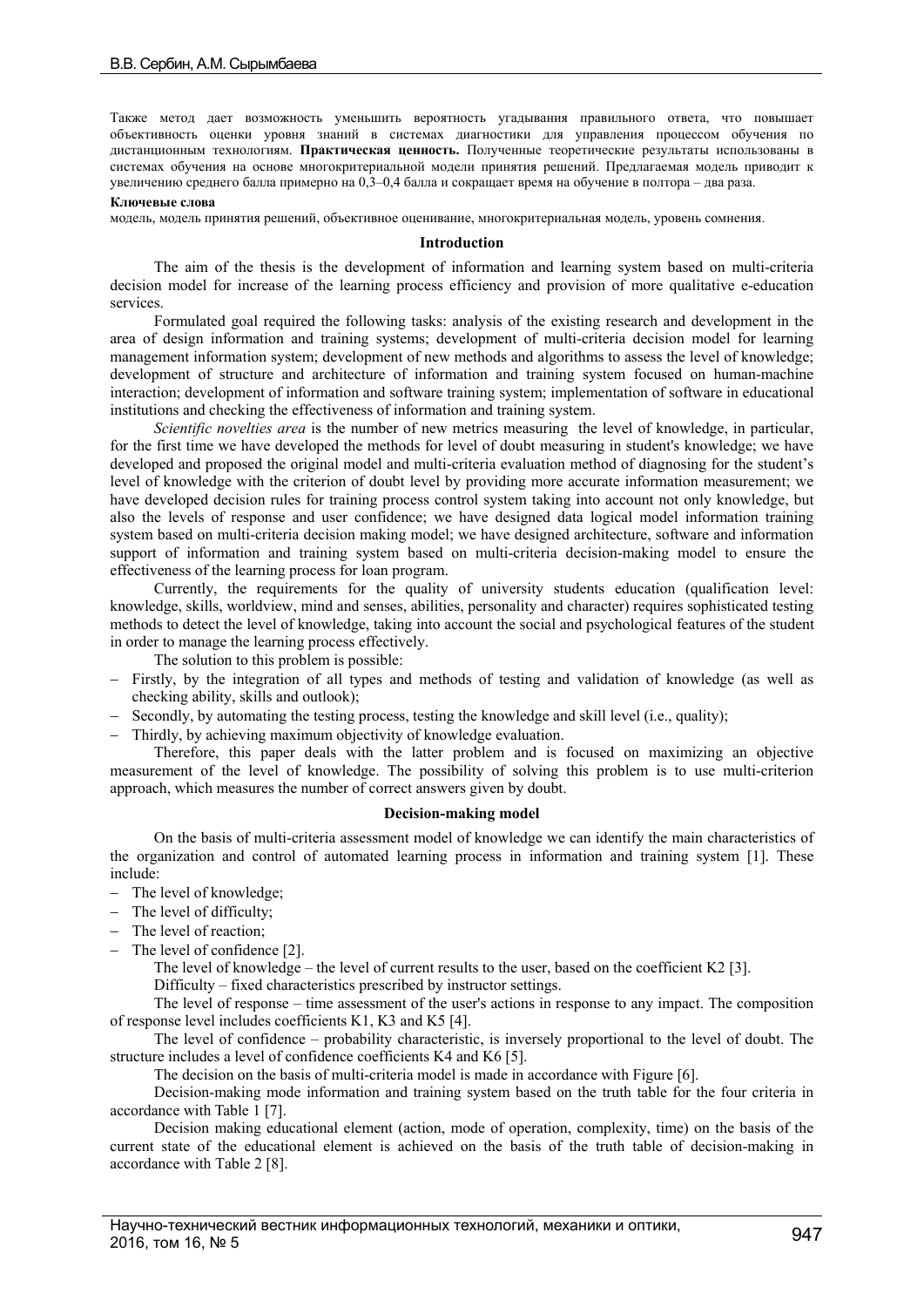Также метод дает возможность уменьшить вероятность угадывания правильного ответа, что повышает объективность оценки уровня знаний в системах диагностики для управления процессом обучения по дистанционным технологиям. **Практическая ценность.** Полученные теоретические результаты использованы в системах обучения на основе многокритериальной модели принятия решений. Предлагаемая модель приводит к увеличению среднего балла примерно на 0,3–0,4 балла и сокращает время на обучение в полтора – два раза.

## **Ключевые слова**

модель, модель принятия решений, объективное оценивание, многокритериальная модель, уровень сомнения.

## **Introduction**

The aim of the thesis is the development of information and learning system based on multi-criteria decision model for increase of the learning process efficiency and provision of more qualitative e-education services.

Formulated goal required the following tasks: analysis of the existing research and development in the area of design information and training systems; development of multi-criteria decision model for learning management information system; development of new methods and algorithms to assess the level of knowledge; development of structure and architecture of information and training system focused on human-machine interaction; development of information and software training system; implementation of software in educational institutions and checking the effectiveness of information and training system.

*Scientific novelties area* is the number of new metrics measuring the level of knowledge, in particular, for the first time we have developed the methods for level of doubt measuring in student's knowledge; we have developed and proposed the original model and multi-criteria evaluation method of diagnosing for the student's level of knowledge with the criterion of doubt level by providing more accurate information measurement; we have developed decision rules for training process control system taking into account not only knowledge, but also the levels of response and user confidence; we have designed data logical model information training system based on multi-criteria decision making model; we have designed architecture, software and information support of information and training system based on multi-criteria decision-making model to ensure the effectiveness of the learning process for loan program.

Currently, the requirements for the quality of university students education (qualification level: knowledge, skills, worldview, mind and senses, abilities, personality and character) requires sophisticated testing methods to detect the level of knowledge, taking into account the social and psychological features of the student in order to manage the learning process effectively.

The solution to this problem is possible:

- Firstly, by the integration of all types and methods of testing and validation of knowledge (as well as checking ability, skills and outlook);
- Secondly, by automating the testing process, testing the knowledge and skill level (i.e., quality);
- Thirdly, by achieving maximum objectivity of knowledge evaluation.

Therefore, this paper deals with the latter problem and is focused on maximizing an objective measurement of the level of knowledge. The possibility of solving this problem is to use multi-criterion approach, which measures the number of correct answers given by doubt.

## **Decision-making model**

On the basis of multi-criteria assessment model of knowledge we can identify the main characteristics of the organization and control of automated learning process in information and training system [1]. These include:

- The level of knowledge;
- The level of difficulty:
- The level of reaction;
- The level of confidence [2].

The level of knowledge – the level of current results to the user, based on the coefficient K2 [3].

Difficulty – fixed characteristics prescribed by instructor settings.

The level of response – time assessment of the user's actions in response to any impact. The composition of response level includes coefficients K1, K3 and K5 [4].

The level of confidence – probability characteristic, is inversely proportional to the level of doubt. The structure includes a level of confidence coefficients K4 and K6 [5].

The decision on the basis of multi-criteria model is made in accordance with Figure [6].

Decision-making mode information and training system based on the truth table for the four criteria in accordance with Table 1 [7].

Decision making educational element (action, mode of operation, complexity, time) on the basis of the current state of the educational element is achieved on the basis of the truth table of decision-making in accordance with Table 2 [8].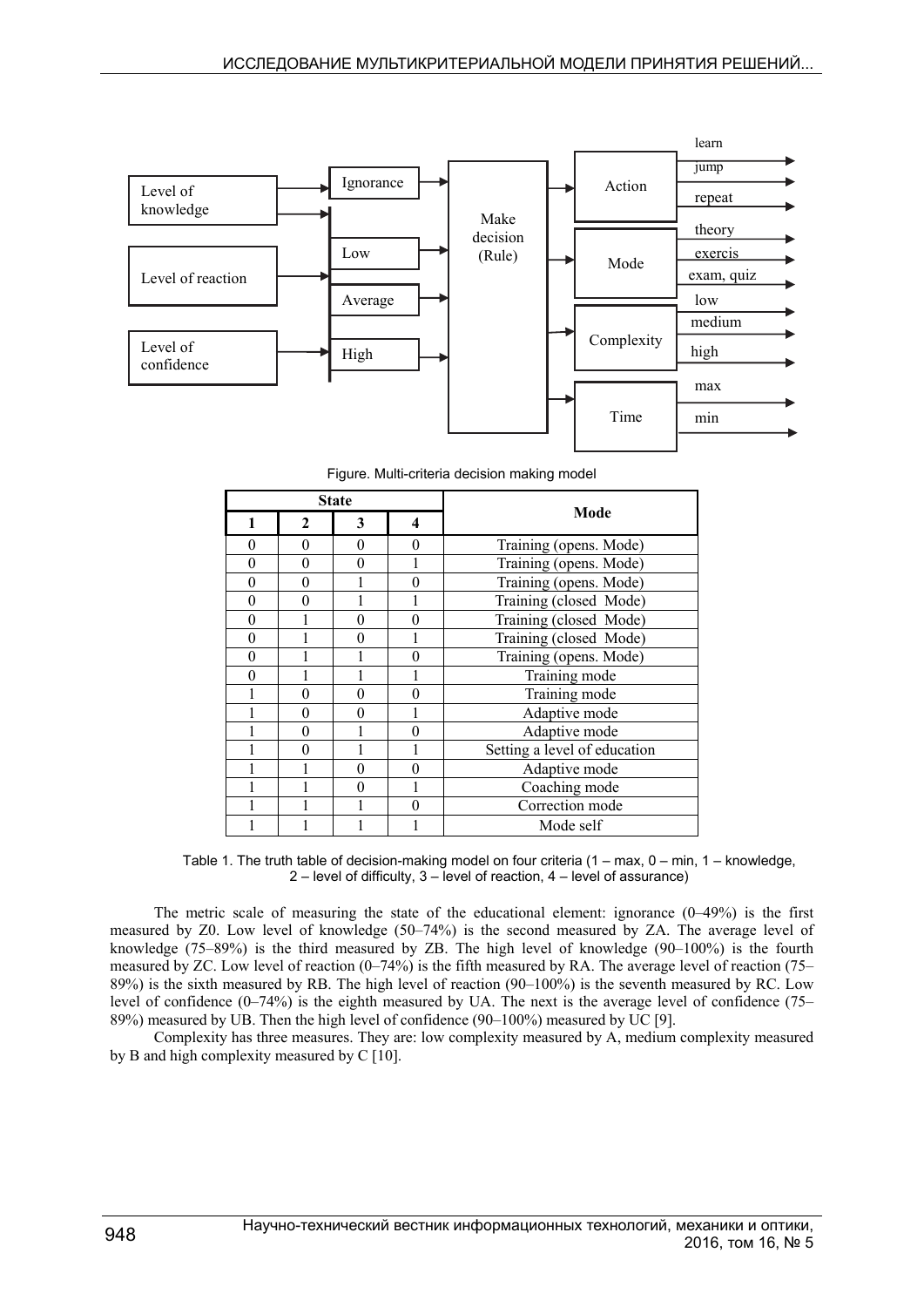

Figure. Multi-criteria decision making model

| <b>State</b> |              |   |          |                              |  |  |  |
|--------------|--------------|---|----------|------------------------------|--|--|--|
| 1            | $\mathbf{2}$ | 3 | 4        | Mode                         |  |  |  |
| 0            | 0            | 0 | 0        | Training (opens. Mode)       |  |  |  |
| $\theta$     | 0            | ∩ |          | Training (opens. Mode)       |  |  |  |
| $\theta$     | $\Omega$     |   | 0        | Training (opens. Mode)       |  |  |  |
| $\theta$     | 0            |   |          | Training (closed Mode)       |  |  |  |
| $\theta$     |              | 0 | 0        | Training (closed Mode)       |  |  |  |
| $\theta$     |              |   |          | Training (closed Mode)       |  |  |  |
| $\theta$     |              |   | 0        | Training (opens. Mode)       |  |  |  |
| $\theta$     |              |   |          | Training mode                |  |  |  |
|              | 0            | 0 | $\Omega$ | Training mode                |  |  |  |
|              | 0            | 0 |          | Adaptive mode                |  |  |  |
|              | $\Omega$     |   | 0        | Adaptive mode                |  |  |  |
|              | $\Omega$     |   |          | Setting a level of education |  |  |  |
|              |              | 0 | 0        | Adaptive mode                |  |  |  |
|              |              | 0 |          | Coaching mode                |  |  |  |
|              |              |   | $\Omega$ | Correction mode              |  |  |  |
|              |              |   |          | Mode self                    |  |  |  |

Table 1. The truth table of decision-making model on four criteria (1 – max, 0 – min, 1 – knowledge, 2 – level of difficulty, 3 – level of reaction, 4 – level of assurance)

The metric scale of measuring the state of the educational element: ignorance (0–49%) is the first measured by Z0. Low level of knowledge (50–74%) is the second measured by ZA. The average level of knowledge (75–89%) is the third measured by ZB. The high level of knowledge (90–100%) is the fourth measured by ZC. Low level of reaction  $(0-74%)$  is the fifth measured by RA. The average level of reaction (75– 89%) is the sixth measured by RB. The high level of reaction (90–100%) is the seventh measured by RC. Low level of confidence (0–74%) is the eighth measured by UA. The next is the average level of confidence (75– 89%) measured by UB. Then the high level of confidence (90–100%) measured by UC [9].

Complexity has three measures. They are: low complexity measured by A, medium complexity measured by B and high complexity measured by C [10].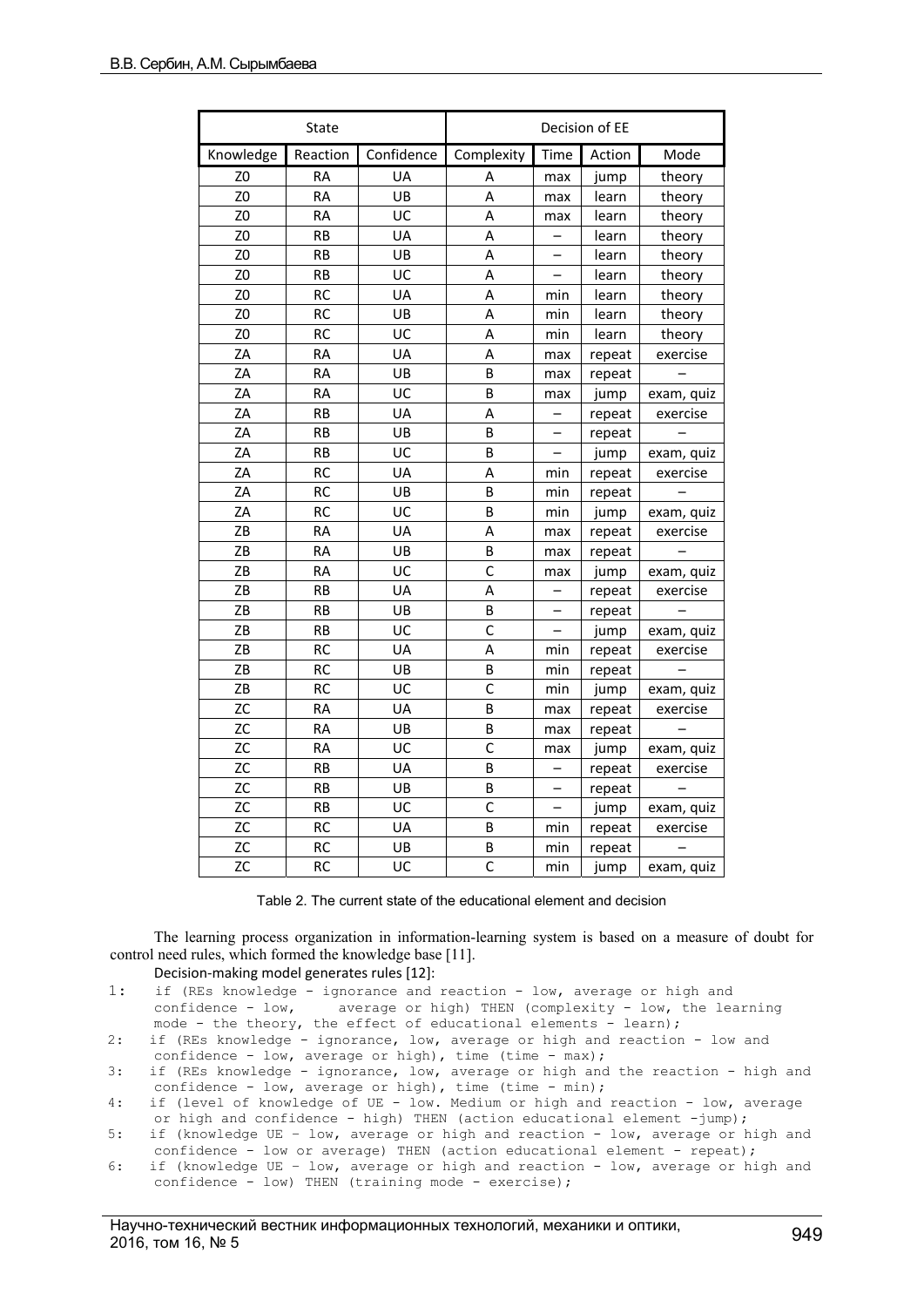|                | State     | Decision of EE |                         |                          |        |            |
|----------------|-----------|----------------|-------------------------|--------------------------|--------|------------|
| Knowledge      | Reaction  | Confidence     | Complexity              | Time                     | Action | Mode       |
| Z <sub>0</sub> | <b>RA</b> | UA             | Α                       | max                      | jump   | theory     |
| Z <sub>0</sub> | <b>RA</b> | UB             | A                       | max                      | learn  | theory     |
| Z <sub>0</sub> | <b>RA</b> | UC             | A                       | max                      | learn  | theory     |
| Z <sub>0</sub> | <b>RB</b> | UA             | A                       |                          | learn  | theory     |
| Z <sub>0</sub> | <b>RB</b> | UB             | A                       |                          | learn  | theory     |
| Z <sub>0</sub> | <b>RB</b> | UC             | A                       | -                        | learn  | theory     |
| Z <sub>0</sub> | <b>RC</b> | UA             | A                       | min                      | learn  | theory     |
| Z0             | <b>RC</b> | UB             | A                       | min                      | learn  | theory     |
| Z <sub>0</sub> | <b>RC</b> | UC             | Α                       | min                      | learn  | theory     |
| ZA             | <b>RA</b> | UA             | A                       | max                      | repeat | exercise   |
| ZA             | <b>RA</b> | UB             | B                       | max                      | repeat |            |
| ZA             | <b>RA</b> | UC             | B                       | max                      | jump   | exam, quiz |
| ZA             | <b>RB</b> | UA             | A                       |                          | repeat | exercise   |
| ZA             | <b>RB</b> | UB             | B                       |                          | repeat |            |
| ZA             | <b>RB</b> | UC             | B                       | $\overline{\phantom{0}}$ | jump   | exam, quiz |
| ZA             | <b>RC</b> | UA             | Α                       | min                      | repeat | exercise   |
| ZA             | <b>RC</b> | UB             | B                       | min                      | repeat |            |
| ZA             | <b>RC</b> | UC             | В                       | min                      | jump   | exam, quiz |
| ZB             | RA        | UA             | Α                       | max                      | repeat | exercise   |
| ZΒ             | RA        | UB             | B                       | max                      | repeat |            |
| ZB             | <b>RA</b> | UC             | $\mathsf{C}$            | max                      | jump   | exam, quiz |
| ZB             | <b>RB</b> | UA             | A                       |                          | repeat | exercise   |
| ZB             | <b>RB</b> | UB             | B                       |                          | repeat |            |
| ZB             | <b>RB</b> | UC             | $\overline{\mathsf{c}}$ |                          | jump   | exam, quiz |
| ZΒ             | <b>RC</b> | UA             | A                       | min                      | repeat | exercise   |
| ZB             | <b>RC</b> | UB             | B                       | min                      | repeat |            |
| ZB             | <b>RC</b> | UC             | $\mathsf{C}$            | min                      | jump   | exam, quiz |
| ZC             | <b>RA</b> | UA             | B                       | max                      | repeat | exercise   |
| <b>ZC</b>      | <b>RA</b> | UB             | B                       | max                      | repeat |            |
| <b>ZC</b>      | <b>RA</b> | UC             | C                       | max                      | jump   | exam, quiz |
| <b>ZC</b>      | <b>RB</b> | UA             | B                       |                          | repeat | exercise   |
| ZC             | <b>RB</b> | UB             | B                       | -                        | repeat |            |
| ZC             | <b>RB</b> | UC             | C                       |                          | jump   | exam, quiz |
| ZC             | <b>RC</b> | UA             | B                       | min                      | repeat | exercise   |
| ZC             | <b>RC</b> | UB             | B                       | min                      | repeat |            |
| <b>ZC</b>      | <b>RC</b> | UC             | $\mathsf{C}$            | min                      | jump   | exam, quiz |

Table 2. The current state of the educational element and decision

The learning process organization in information-learning system is based on a measure of doubt for control need rules, which formed the knowledge base [11].

Decision-making model generates rules [12]:

- 1: if (REs knowledge ignorance and reaction low, average or high and confidence low, average or high) THEN (complexity low, the le average or high) THEN (complexity - low, the learning mode - the theory, the effect of educational elements - learn);
- 2: if (REs knowledge ignorance, low, average or high and reaction low and confidence - low, average or high), time (time - max);
- 3: if (REs knowledge ignorance, low, average or high and the reaction high and confidence - low, average or high), time (time - min);
- 4: if (level of knowledge of UE low. Medium or high and reaction low, average or high and confidence - high) THEN (action educational element -jump);
- 5: if (knowledge UE low, average or high and reaction low, average or high and confidence - low or average) THEN (action educational element - repeat);
- 6: if (knowledge UE low, average or high and reaction low, average or high and confidence - low) THEN (training mode - exercise);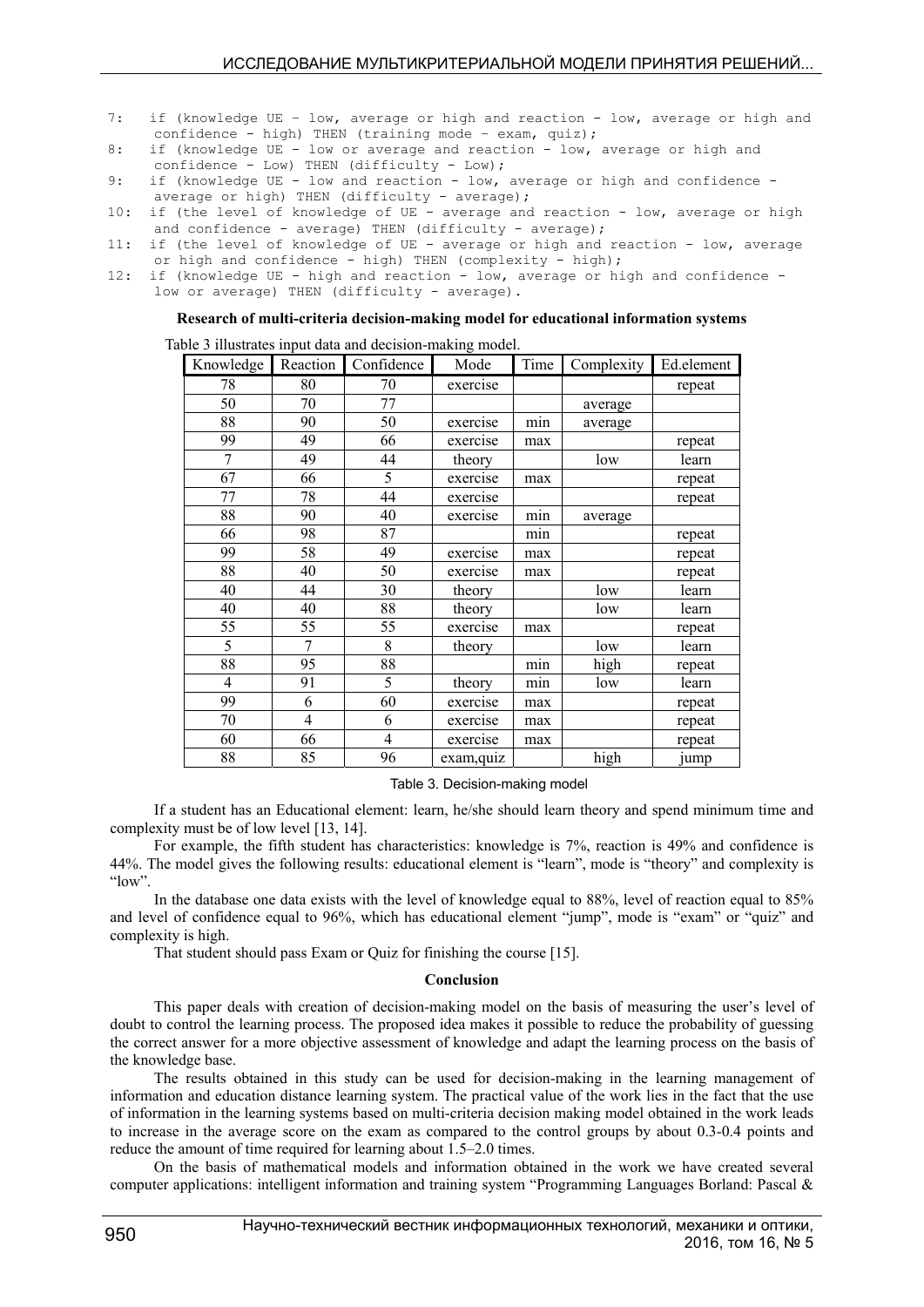- 7: if (knowledge UE low, average or high and reaction low, average or high and confidence - high) THEN (training mode - exam, quiz);
- 8: if (knowledge UE low or average and reaction low, average or high and confidence - Low) THEN (difficulty - Low);
- 9: if (knowledge UE low and reaction low, average or high and confidence average or high) THEN (difficulty - average);
- 10: if (the level of knowledge of UE average and reaction low, average or high and confidence - average) THEN (difficulty - average);
- 11: if (the level of knowledge of UE average or high and reaction low, average or high and confidence - high) THEN (complexity - high);
- 12: if (knowledge UE high and reaction low, average or high and confidence low or average) THEN (difficulty - average).

## **Research of multi-criteria decision-making model for educational information systems**

Table 3 illustrates input data and decision-making model.

| Knowledge | Reaction       | Confidence | Mode       | Time | Complexity | Ed.element |
|-----------|----------------|------------|------------|------|------------|------------|
| 78        | 80             | 70         | exercise   |      |            | repeat     |
| 50        | 70             | 77         |            |      | average    |            |
| 88        | 90             | 50         | exercise   | min  | average    |            |
| 99        | 49             | 66         | exercise   | max  |            | repeat     |
| 7         | 49             | 44         | theory     |      | low        | learn      |
| 67        | 66             | 5          | exercise   | max  |            | repeat     |
| 77        | 78             | 44         | exercise   |      |            | repeat     |
| 88        | 90             | 40         | exercise   | min  | average    |            |
| 66        | 98             | 87         |            | min  |            | repeat     |
| 99        | 58             | 49         | exercise   | max  |            | repeat     |
| 88        | 40             | 50         | exercise   | max  |            | repeat     |
| 40        | 44             | 30         | theory     |      | low        | learn      |
| 40        | 40             | 88         | theory     |      | low        | learn      |
| 55        | 55             | 55         | exercise   | max  |            | repeat     |
| 5         | 7              | 8          | theory     |      | low        | learn      |
| 88        | 95             | 88         |            | min  | high       | repeat     |
| 4         | 91             | 5          | theory     | min  | low        | learn      |
| 99        | 6              | 60         | exercise   | max  |            | repeat     |
| 70        | $\overline{4}$ | 6          | exercise   | max  |            | repeat     |
| 60        | 66             | 4          | exercise   | max  |            | repeat     |
| 88        | 85             | 96         | exam, quiz |      | high       | jump       |

Table 3. Decision-making model

If a student has an Educational element: learn, he/she should learn theory and spend minimum time and complexity must be of low level [13, 14].

For example, the fifth student has characteristics: knowledge is 7%, reaction is 49% and confidence is 44%. The model gives the following results: educational element is "learn", mode is "theory" and complexity is "low".

In the database one data exists with the level of knowledge equal to 88%, level of reaction equal to 85% and level of confidence equal to 96%, which has educational element "jump", mode is "exam" or "quiz" and complexity is high.

That student should pass Exam or Quiz for finishing the course [15].

## **Conclusion**

This paper deals with creation of decision-making model on the basis of measuring the user's level of doubt to control the learning process. The proposed idea makes it possible to reduce the probability of guessing the correct answer for a more objective assessment of knowledge and adapt the learning process on the basis of the knowledge base.

The results obtained in this study can be used for decision-making in the learning management of information and education distance learning system. The practical value of the work lies in the fact that the use of information in the learning systems based on multi-criteria decision making model obtained in the work leads to increase in the average score on the exam as compared to the control groups by about 0.3-0.4 points and reduce the amount of time required for learning about 1.5–2.0 times.

On the basis of mathematical models and information obtained in the work we have created several computer applications: intelligent information and training system "Programming Languages Borland: Pascal &